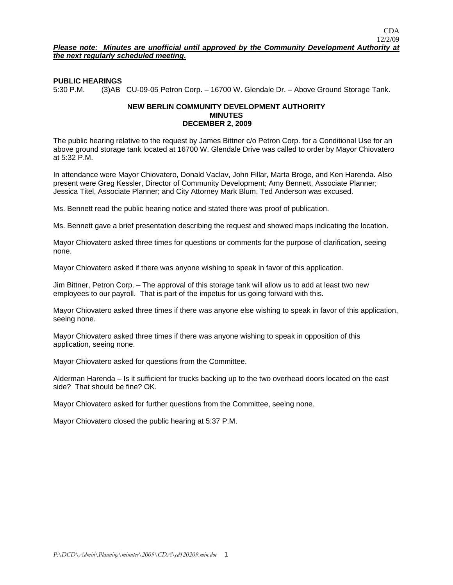# **PUBLIC HEARINGS**

5:30 P.M. (3)AB CU-09-05 Petron Corp. – 16700 W. Glendale Dr. – Above Ground Storage Tank.

#### **NEW BERLIN COMMUNITY DEVELOPMENT AUTHORITY MINUTES DECEMBER 2, 2009**

The public hearing relative to the request by James Bittner c/o Petron Corp. for a Conditional Use for an above ground storage tank located at 16700 W. Glendale Drive was called to order by Mayor Chiovatero at 5:32 P.M.

In attendance were Mayor Chiovatero, Donald Vaclav, John Fillar, Marta Broge, and Ken Harenda. Also present were Greg Kessler, Director of Community Development; Amy Bennett, Associate Planner; Jessica Titel, Associate Planner; and City Attorney Mark Blum. Ted Anderson was excused.

Ms. Bennett read the public hearing notice and stated there was proof of publication.

Ms. Bennett gave a brief presentation describing the request and showed maps indicating the location.

Mayor Chiovatero asked three times for questions or comments for the purpose of clarification, seeing none.

Mayor Chiovatero asked if there was anyone wishing to speak in favor of this application.

Jim Bittner, Petron Corp. – The approval of this storage tank will allow us to add at least two new employees to our payroll. That is part of the impetus for us going forward with this.

Mayor Chiovatero asked three times if there was anyone else wishing to speak in favor of this application, seeing none.

Mayor Chiovatero asked three times if there was anyone wishing to speak in opposition of this application, seeing none.

Mayor Chiovatero asked for questions from the Committee.

Alderman Harenda – Is it sufficient for trucks backing up to the two overhead doors located on the east side? That should be fine? OK.

Mayor Chiovatero asked for further questions from the Committee, seeing none.

Mayor Chiovatero closed the public hearing at 5:37 P.M.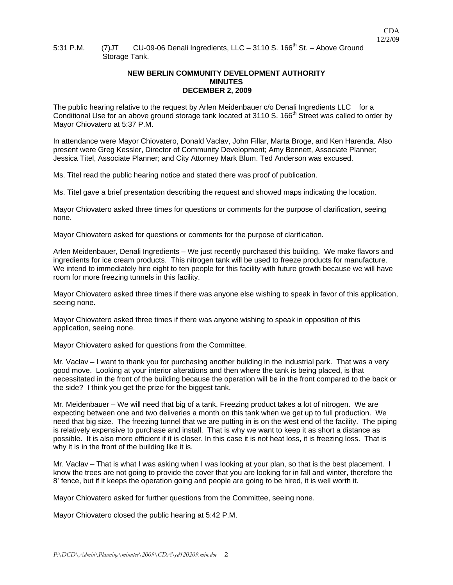## 5:31 P.M.  $(7)$ JT CU-09-06 Denali Ingredients, LLC – 3110 S. 166<sup>th</sup> St. – Above Ground Storage Tank.

## **NEW BERLIN COMMUNITY DEVELOPMENT AUTHORITY MINUTES DECEMBER 2, 2009**

The public hearing relative to the request by Arlen Meidenbauer c/o Denali Ingredients LLC for a Conditional Use for an above ground storage tank located at 3110 S. 166<sup>th</sup> Street was called to order by Mayor Chiovatero at 5:37 P.M.

In attendance were Mayor Chiovatero, Donald Vaclav, John Fillar, Marta Broge, and Ken Harenda. Also present were Greg Kessler, Director of Community Development; Amy Bennett, Associate Planner; Jessica Titel, Associate Planner; and City Attorney Mark Blum. Ted Anderson was excused.

Ms. Titel read the public hearing notice and stated there was proof of publication.

Ms. Titel gave a brief presentation describing the request and showed maps indicating the location.

Mayor Chiovatero asked three times for questions or comments for the purpose of clarification, seeing none.

Mayor Chiovatero asked for questions or comments for the purpose of clarification.

Arlen Meidenbauer, Denali Ingredients – We just recently purchased this building. We make flavors and ingredients for ice cream products. This nitrogen tank will be used to freeze products for manufacture. We intend to immediately hire eight to ten people for this facility with future growth because we will have room for more freezing tunnels in this facility.

Mayor Chiovatero asked three times if there was anyone else wishing to speak in favor of this application, seeing none.

Mayor Chiovatero asked three times if there was anyone wishing to speak in opposition of this application, seeing none.

Mayor Chiovatero asked for questions from the Committee.

Mr. Vaclav – I want to thank you for purchasing another building in the industrial park. That was a very good move. Looking at your interior alterations and then where the tank is being placed, is that necessitated in the front of the building because the operation will be in the front compared to the back or the side? I think you get the prize for the biggest tank.

Mr. Meidenbauer – We will need that big of a tank. Freezing product takes a lot of nitrogen. We are expecting between one and two deliveries a month on this tank when we get up to full production. We need that big size. The freezing tunnel that we are putting in is on the west end of the facility. The piping is relatively expensive to purchase and install. That is why we want to keep it as short a distance as possible. It is also more efficient if it is closer. In this case it is not heat loss, it is freezing loss. That is why it is in the front of the building like it is.

Mr. Vaclav – That is what I was asking when I was looking at your plan, so that is the best placement. I know the trees are not going to provide the cover that you are looking for in fall and winter, therefore the 8' fence, but if it keeps the operation going and people are going to be hired, it is well worth it.

Mayor Chiovatero asked for further questions from the Committee, seeing none.

Mayor Chiovatero closed the public hearing at 5:42 P.M.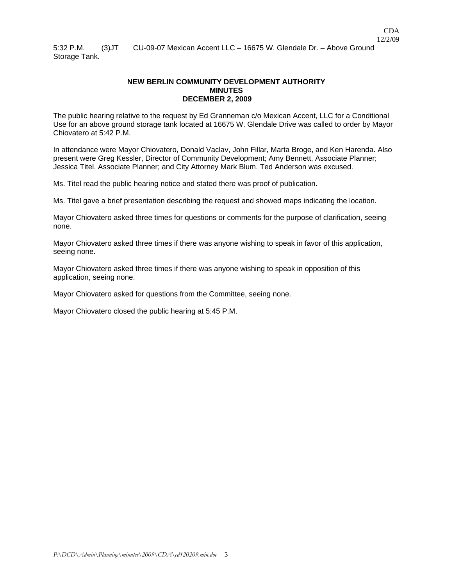CDA

#### **NEW BERLIN COMMUNITY DEVELOPMENT AUTHORITY MINUTES DECEMBER 2, 2009**

The public hearing relative to the request by Ed Granneman c/o Mexican Accent, LLC for a Conditional Use for an above ground storage tank located at 16675 W. Glendale Drive was called to order by Mayor Chiovatero at 5:42 P.M.

In attendance were Mayor Chiovatero, Donald Vaclav, John Fillar, Marta Broge, and Ken Harenda. Also present were Greg Kessler, Director of Community Development; Amy Bennett, Associate Planner; Jessica Titel, Associate Planner; and City Attorney Mark Blum. Ted Anderson was excused.

Ms. Titel read the public hearing notice and stated there was proof of publication.

Ms. Titel gave a brief presentation describing the request and showed maps indicating the location.

Mayor Chiovatero asked three times for questions or comments for the purpose of clarification, seeing none.

Mayor Chiovatero asked three times if there was anyone wishing to speak in favor of this application, seeing none.

Mayor Chiovatero asked three times if there was anyone wishing to speak in opposition of this application, seeing none.

Mayor Chiovatero asked for questions from the Committee, seeing none.

Mayor Chiovatero closed the public hearing at 5:45 P.M.

Storage Tank.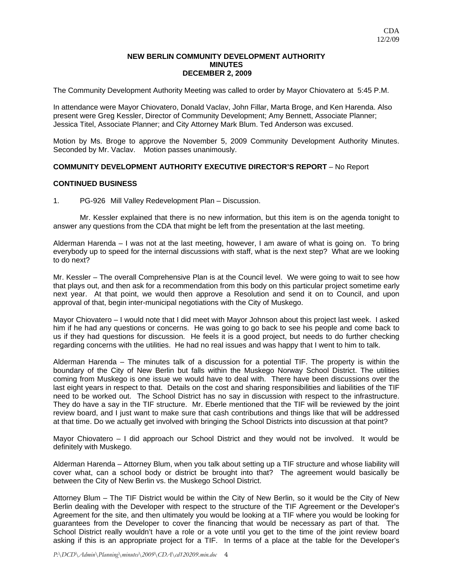#### **NEW BERLIN COMMUNITY DEVELOPMENT AUTHORITY MINUTES DECEMBER 2, 2009**

The Community Development Authority Meeting was called to order by Mayor Chiovatero at 5:45 P.M.

In attendance were Mayor Chiovatero, Donald Vaclav, John Fillar, Marta Broge, and Ken Harenda. Also present were Greg Kessler, Director of Community Development; Amy Bennett, Associate Planner; Jessica Titel, Associate Planner; and City Attorney Mark Blum. Ted Anderson was excused.

Motion by Ms. Broge to approve the November 5, 2009 Community Development Authority Minutes. Seconded by Mr. Vaclav. Motion passes unanimously.

## **COMMUNITY DEVELOPMENT AUTHORITY EXECUTIVE DIRECTOR'S REPORT** – No Report

#### **CONTINUED BUSINESS**

1. PG-926 Mill Valley Redevelopment Plan – Discussion.

Mr. Kessler explained that there is no new information, but this item is on the agenda tonight to answer any questions from the CDA that might be left from the presentation at the last meeting.

Alderman Harenda – I was not at the last meeting, however, I am aware of what is going on. To bring everybody up to speed for the internal discussions with staff, what is the next step? What are we looking to do next?

Mr. Kessler – The overall Comprehensive Plan is at the Council level. We were going to wait to see how that plays out, and then ask for a recommendation from this body on this particular project sometime early next year. At that point, we would then approve a Resolution and send it on to Council, and upon approval of that, begin inter-municipal negotiations with the City of Muskego.

Mayor Chiovatero – I would note that I did meet with Mayor Johnson about this project last week. I asked him if he had any questions or concerns. He was going to go back to see his people and come back to us if they had questions for discussion. He feels it is a good project, but needs to do further checking regarding concerns with the utilities. He had no real issues and was happy that I went to him to talk.

Alderman Harenda – The minutes talk of a discussion for a potential TIF. The property is within the boundary of the City of New Berlin but falls within the Muskego Norway School District. The utilities coming from Muskego is one issue we would have to deal with. There have been discussions over the last eight years in respect to that. Details on the cost and sharing responsibilities and liabilities of the TIF need to be worked out. The School District has no say in discussion with respect to the infrastructure. They do have a say in the TIF structure. Mr. Eberle mentioned that the TIF will be reviewed by the joint review board, and I just want to make sure that cash contributions and things like that will be addressed at that time. Do we actually get involved with bringing the School Districts into discussion at that point?

Mayor Chiovatero – I did approach our School District and they would not be involved. It would be definitely with Muskego.

Alderman Harenda – Attorney Blum, when you talk about setting up a TIF structure and whose liability will cover what, can a school body or district be brought into that? The agreement would basically be between the City of New Berlin vs. the Muskego School District.

Attorney Blum – The TIF District would be within the City of New Berlin, so it would be the City of New Berlin dealing with the Developer with respect to the structure of the TIF Agreement or the Developer's Agreement for the site, and then ultimately you would be looking at a TIF where you would be looking for guarantees from the Developer to cover the financing that would be necessary as part of that. The School District really wouldn't have a role or a vote until you get to the time of the joint review board asking if this is an appropriate project for a TIF. In terms of a place at the table for the Developer's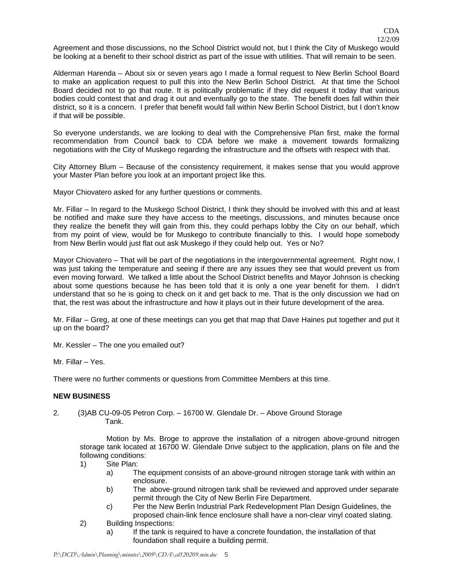Agreement and those discussions, no the School District would not, but I think the City of Muskego would be looking at a benefit to their school district as part of the issue with utilities. That will remain to be seen.

Alderman Harenda – About six or seven years ago I made a formal request to New Berlin School Board to make an application request to pull this into the New Berlin School District. At that time the School Board decided not to go that route. It is politically problematic if they did request it today that various bodies could contest that and drag it out and eventually go to the state. The benefit does fall within their district, so it is a concern. I prefer that benefit would fall within New Berlin School District, but I don't know if that will be possible.

So everyone understands, we are looking to deal with the Comprehensive Plan first, make the formal recommendation from Council back to CDA before we make a movement towards formalizing negotiations with the City of Muskego regarding the infrastructure and the offsets with respect with that.

City Attorney Blum – Because of the consistency requirement, it makes sense that you would approve your Master Plan before you look at an important project like this.

Mayor Chiovatero asked for any further questions or comments.

Mr. Fillar – In regard to the Muskego School District, I think they should be involved with this and at least be notified and make sure they have access to the meetings, discussions, and minutes because once they realize the benefit they will gain from this, they could perhaps lobby the City on our behalf, which from my point of view, would be for Muskego to contribute financially to this. I would hope somebody from New Berlin would just flat out ask Muskego if they could help out. Yes or No?

Mayor Chiovatero – That will be part of the negotiations in the intergovernmental agreement. Right now, I was just taking the temperature and seeing if there are any issues they see that would prevent us from even moving forward. We talked a little about the School District benefits and Mayor Johnson is checking about some questions because he has been told that it is only a one year benefit for them. I didn't understand that so he is going to check on it and get back to me. That is the only discussion we had on that, the rest was about the infrastructure and how it plays out in their future development of the area.

Mr. Fillar – Greg, at one of these meetings can you get that map that Dave Haines put together and put it up on the board?

Mr. Kessler – The one you emailed out?

Mr. Fillar – Yes.

There were no further comments or questions from Committee Members at this time.

#### **NEW BUSINESS**

2. (3)AB CU-09-05 Petron Corp. – 16700 W. Glendale Dr. – Above Ground Storage Tank.

 Motion by Ms. Broge to approve the installation of a nitrogen above-ground nitrogen storage tank located at 16700 W. Glendale Drive subject to the application, plans on file and the following conditions:

- 1) Site Plan:
	- a) The equipment consists of an above-ground nitrogen storage tank with within an enclosure.
	- b) The above-ground nitrogen tank shall be reviewed and approved under separate permit through the City of New Berlin Fire Department.
	- c) Per the New Berlin Industrial Park Redevelopment Plan Design Guidelines, the proposed chain-link fence enclosure shall have a non-clear vinyl coated slating.
- 2) Building Inspections:
	- a) If the tank is required to have a concrete foundation, the installation of that foundation shall require a building permit.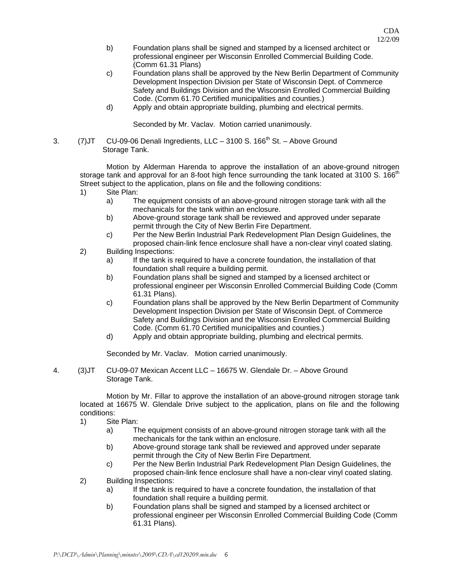- b) Foundation plans shall be signed and stamped by a licensed architect or professional engineer per Wisconsin Enrolled Commercial Building Code. (Comm 61.31 Plans)
- c) Foundation plans shall be approved by the New Berlin Department of Community Development Inspection Division per State of Wisconsin Dept. of Commerce Safety and Buildings Division and the Wisconsin Enrolled Commercial Building Code. (Comm 61.70 Certified municipalities and counties.)
- d) Apply and obtain appropriate building, plumbing and electrical permits.

Seconded by Mr. Vaclav. Motion carried unanimously.

3. (7)JT CU-09-06 Denali Ingredients, LLC – 3100 S. 166<sup>th</sup> St. – Above Ground Storage Tank.

 Motion by Alderman Harenda to approve the installation of an above-ground nitrogen storage tank and approval for an 8-foot high fence surrounding the tank located at 3100 S. 166<sup>th</sup> Street subject to the application, plans on file and the following conditions:

- 1) Site Plan:
	- a) The equipment consists of an above-ground nitrogen storage tank with all the mechanicals for the tank within an enclosure.
	- b) Above-ground storage tank shall be reviewed and approved under separate permit through the City of New Berlin Fire Department.
	- c) Per the New Berlin Industrial Park Redevelopment Plan Design Guidelines, the proposed chain-link fence enclosure shall have a non-clear vinyl coated slating.
- 2) Building Inspections:
	- a) If the tank is required to have a concrete foundation, the installation of that foundation shall require a building permit.
	- b) Foundation plans shall be signed and stamped by a licensed architect or professional engineer per Wisconsin Enrolled Commercial Building Code (Comm 61.31 Plans).
	- c) Foundation plans shall be approved by the New Berlin Department of Community Development Inspection Division per State of Wisconsin Dept. of Commerce Safety and Buildings Division and the Wisconsin Enrolled Commercial Building Code. (Comm 61.70 Certified municipalities and counties.)
	- d) Apply and obtain appropriate building, plumbing and electrical permits.

Seconded by Mr. Vaclav. Motion carried unanimously.

4. (3)JT CU-09-07 Mexican Accent LLC – 16675 W. Glendale Dr. – Above Ground Storage Tank.

 Motion by Mr. Fillar to approve the installation of an above-ground nitrogen storage tank located at 16675 W. Glendale Drive subject to the application, plans on file and the following conditions:

- 1) Site Plan:
	- a) The equipment consists of an above-ground nitrogen storage tank with all the mechanicals for the tank within an enclosure.
	- b) Above-ground storage tank shall be reviewed and approved under separate permit through the City of New Berlin Fire Department.
	- c) Per the New Berlin Industrial Park Redevelopment Plan Design Guidelines, the proposed chain-link fence enclosure shall have a non-clear vinyl coated slating.
- 2) Building Inspections:
	- a) If the tank is required to have a concrete foundation, the installation of that foundation shall require a building permit.
	- b) Foundation plans shall be signed and stamped by a licensed architect or professional engineer per Wisconsin Enrolled Commercial Building Code (Comm 61.31 Plans).